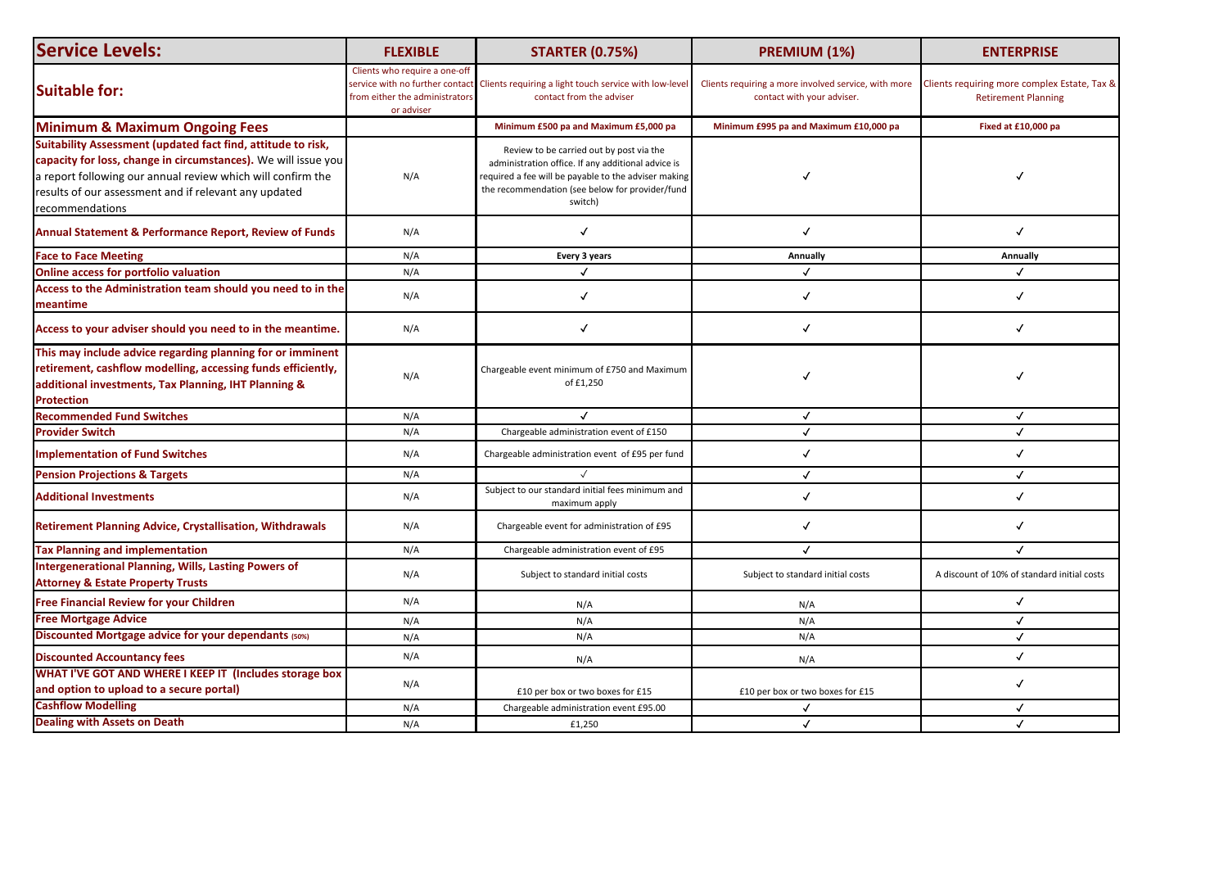| <b>Service Levels:</b>                                                                                                                                                                                                                                                    | <b>FLEXIBLE</b>                                                               | <b>STARTER (0.75%)</b>                                                                                                                                                                                               | PREMIUM (1%)                                                                       | <b>ENTERPRISE</b>                                                          |
|---------------------------------------------------------------------------------------------------------------------------------------------------------------------------------------------------------------------------------------------------------------------------|-------------------------------------------------------------------------------|----------------------------------------------------------------------------------------------------------------------------------------------------------------------------------------------------------------------|------------------------------------------------------------------------------------|----------------------------------------------------------------------------|
| <b>Suitable for:</b>                                                                                                                                                                                                                                                      | Clients who require a one-off<br>from either the administrators<br>or adviser | service with no further contact Clients requiring a light touch service with low-level<br>contact from the adviser                                                                                                   | Clients requiring a more involved service, with more<br>contact with your adviser. | Clients requiring more complex Estate, Tax &<br><b>Retirement Planning</b> |
| <b>Minimum &amp; Maximum Ongoing Fees</b>                                                                                                                                                                                                                                 |                                                                               | Minimum £500 pa and Maximum £5,000 pa                                                                                                                                                                                | Minimum £995 pa and Maximum £10,000 pa                                             | Fixed at £10,000 pa                                                        |
| Suitability Assessment (updated fact find, attitude to risk,<br>capacity for loss, change in circumstances). We will issue you<br>a report following our annual review which will confirm the<br>results of our assessment and if relevant any updated<br>recommendations | N/A                                                                           | Review to be carried out by post via the<br>administration office. If any additional advice is<br>required a fee will be payable to the adviser making<br>the recommendation (see below for provider/fund<br>switch) |                                                                                    |                                                                            |
| <b>Annual Statement &amp; Performance Report, Review of Funds</b>                                                                                                                                                                                                         | N/A                                                                           |                                                                                                                                                                                                                      |                                                                                    |                                                                            |
| <b>Face to Face Meeting</b>                                                                                                                                                                                                                                               | N/A                                                                           | <b>Every 3 years</b>                                                                                                                                                                                                 | <b>Annually</b>                                                                    | Annually                                                                   |
| Online access for portfolio valuation                                                                                                                                                                                                                                     | N/A                                                                           |                                                                                                                                                                                                                      |                                                                                    |                                                                            |
| Access to the Administration team should you need to in the<br>meantime                                                                                                                                                                                                   | N/A                                                                           |                                                                                                                                                                                                                      |                                                                                    |                                                                            |
| Access to your adviser should you need to in the meantime.                                                                                                                                                                                                                | N/A                                                                           |                                                                                                                                                                                                                      |                                                                                    |                                                                            |
| This may include advice regarding planning for or imminent<br>retirement, cashflow modelling, accessing funds efficiently,<br>additional investments, Tax Planning, IHT Planning &<br><b>Protection</b>                                                                   | N/A                                                                           | Chargeable event minimum of £750 and Maximum<br>of £1,250                                                                                                                                                            |                                                                                    |                                                                            |
| <b>Recommended Fund Switches</b>                                                                                                                                                                                                                                          | N/A                                                                           |                                                                                                                                                                                                                      |                                                                                    |                                                                            |
| <b>Provider Switch</b>                                                                                                                                                                                                                                                    | N/A                                                                           | Chargeable administration event of £150                                                                                                                                                                              |                                                                                    |                                                                            |
| <b>Implementation of Fund Switches</b>                                                                                                                                                                                                                                    | N/A                                                                           | Chargeable administration event of £95 per fund                                                                                                                                                                      |                                                                                    |                                                                            |
| <b>Pension Projections &amp; Targets</b>                                                                                                                                                                                                                                  | N/A                                                                           |                                                                                                                                                                                                                      |                                                                                    |                                                                            |
| <b>Additional Investments</b>                                                                                                                                                                                                                                             | N/A                                                                           | Subject to our standard initial fees minimum and<br>maximum apply                                                                                                                                                    |                                                                                    |                                                                            |
| <b>Retirement Planning Advice, Crystallisation, Withdrawals</b>                                                                                                                                                                                                           | N/A                                                                           | Chargeable event for administration of £95                                                                                                                                                                           |                                                                                    |                                                                            |
| <b>Tax Planning and implementation</b>                                                                                                                                                                                                                                    | N/A                                                                           | Chargeable administration event of £95                                                                                                                                                                               |                                                                                    | $\checkmark$                                                               |
| Intergenerational Planning, Wills, Lasting Powers of<br><b>Attorney &amp; Estate Property Trusts</b>                                                                                                                                                                      | N/A                                                                           | Subject to standard initial costs                                                                                                                                                                                    | Subject to standard initial costs                                                  | A discount of 10% of standard initial costs                                |
| <b>Free Financial Review for your Children</b>                                                                                                                                                                                                                            | N/A                                                                           | N/A                                                                                                                                                                                                                  | N/A                                                                                |                                                                            |
| <b>Free Mortgage Advice</b>                                                                                                                                                                                                                                               | N/A                                                                           | N/A                                                                                                                                                                                                                  | N/A                                                                                |                                                                            |
| Discounted Mortgage advice for your dependants (50%)                                                                                                                                                                                                                      | N/A                                                                           | N/A                                                                                                                                                                                                                  | N/A                                                                                |                                                                            |
| <b>Discounted Accountancy fees</b>                                                                                                                                                                                                                                        | N/A                                                                           | N/A                                                                                                                                                                                                                  | N/A                                                                                |                                                                            |
| WHAT I'VE GOT AND WHERE I KEEP IT (Includes storage box<br>and option to upload to a secure portal)                                                                                                                                                                       | N/A                                                                           | £10 per box or two boxes for £15                                                                                                                                                                                     | £10 per box or two boxes for £15                                                   |                                                                            |
| <b>Cashflow Modelling</b>                                                                                                                                                                                                                                                 | N/A                                                                           | Chargeable administration event £95.00                                                                                                                                                                               |                                                                                    |                                                                            |
| <b>Dealing with Assets on Death</b>                                                                                                                                                                                                                                       | N/A                                                                           | £1,250                                                                                                                                                                                                               | $\checkmark$                                                                       |                                                                            |